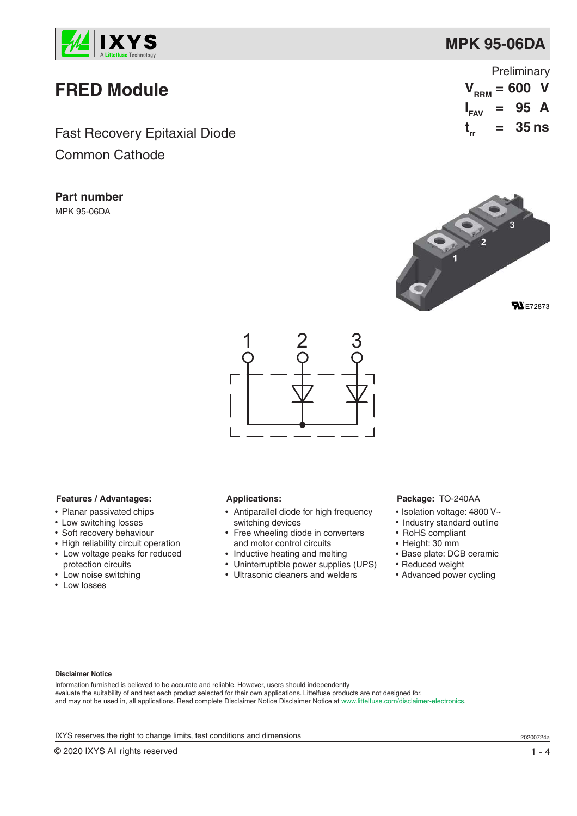

## **FRED Module**

Fast Recovery Epitaxial Diode Common Cathode

**Part number** MPK 95-06DA

| Preliminary      |     |                   |  |  |  |
|------------------|-----|-------------------|--|--|--|
|                  |     | $V_{RRM} = 600$ V |  |  |  |
| $I_{FAV}$ = 95 A |     |                   |  |  |  |
| t_               | $=$ | <b>35 ns</b>      |  |  |  |





### **Features / Advantages:**

- Planar passivated chips
- Low switching losses
- Soft recovery behaviour
- High reliability circuit operation
- Low voltage peaks for reduced
- protection circuits • Low noise switching
- Low losses

### **Applications:**

- Antiparallel diode for high frequency switching devices
- Free wheeling diode in converters
- and motor control circuits
- Inductive heating and melting
- Uninterruptible power supplies (UPS)
- Ultrasonic cleaners and welders

### **Package:** TO-240AA

- Isolation voltage: 4800 V~
- Industry standard outline
- RoHS compliant
- Height: 30 mm
- Base plate: DCB ceramic
- Reduced weight
- Advanced power cycling

#### **Disclaimer Notice**

Information furnished is believed to be accurate and reliable. However, users should independently evaluate the suitability of and test each product selected for their own applications. Littelfuse products are not designed for, and may not be used in, all applications. Read complete Disclaimer Notice Disclaimer Notice at www.littelfuse.com/disclaimer-electronics.

IXYS reserves the right to change limits, test conditions and dimensions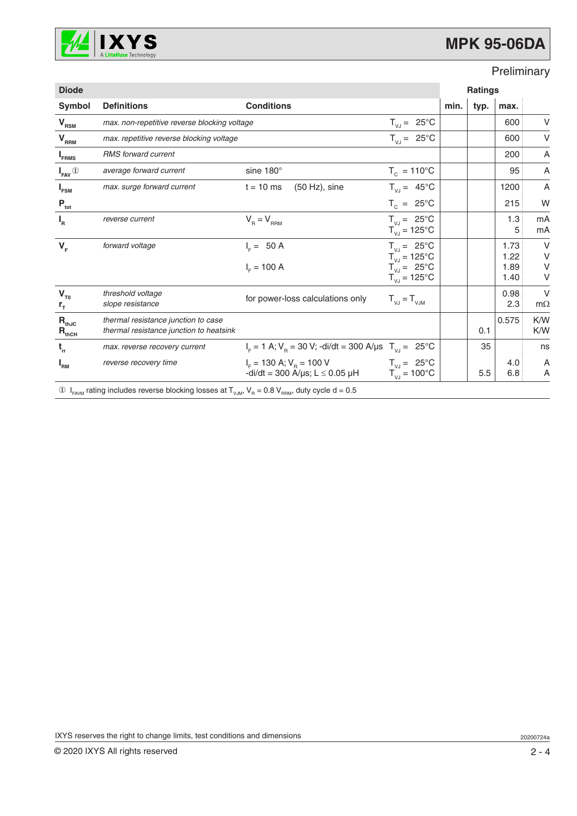

### Preliminary

| <b>Diode</b>                          |                                                                                                                                                                          |                                                                                              | <b>Ratings</b>                                                                                           |      |      |                              |                            |
|---------------------------------------|--------------------------------------------------------------------------------------------------------------------------------------------------------------------------|----------------------------------------------------------------------------------------------|----------------------------------------------------------------------------------------------------------|------|------|------------------------------|----------------------------|
| Symbol                                | <b>Definitions</b>                                                                                                                                                       | <b>Conditions</b>                                                                            |                                                                                                          | min. | typ. | max.                         |                            |
| $V_{\rm RSM}$                         |                                                                                                                                                                          | $T_{V,J} = 25^{\circ}C$<br>max. non-repetitive reverse blocking voltage                      |                                                                                                          |      |      | 600                          | V                          |
| ${\mathsf V}_{_{\mathsf{RRM}}}$       | max. repetitive reverse blocking voltage                                                                                                                                 |                                                                                              | $T_{V,J} = 25^{\circ}C$                                                                                  |      |      | 600                          | $\vee$                     |
| <b>FRMS</b>                           | <b>RMS</b> forward current                                                                                                                                               |                                                                                              |                                                                                                          |      |      | 200                          | Α                          |
| $I_{\text{FAV}}$ <sup>①</sup>         | average forward current                                                                                                                                                  | sine $180^\circ$                                                                             | $T_c = 110^{\circ}C$                                                                                     |      |      | 95                           | A                          |
| <b>I</b> <sub>FSM</sub>               | max. surge forward current                                                                                                                                               | $(50 Hz)$ , sine<br>$t = 10$ ms                                                              | $T_{V,J} = 45^{\circ}C$                                                                                  |      |      | 1200                         | Α                          |
| $P_{\underline{\text{tot}}}$          |                                                                                                                                                                          |                                                                                              | $T_c = 25^{\circ}C$                                                                                      |      |      | 215                          | W                          |
| $I_R$                                 | reverse current                                                                                                                                                          | $V_R = V_{RRM}$                                                                              | $T_{VJ} = 25^{\circ}C$<br>$T_{V,I} = 125^{\circ}C$                                                       |      |      | 1.3<br>5                     | mA<br>mA                   |
| $V_F$                                 | forward voltage                                                                                                                                                          | $I_c = 50 A$<br>$I_{F} = 100 A$                                                              | $T_{V,J} = 25^{\circ}C$<br>$T_{\text{VJ}}$ = 125°C<br>$T_{V,J} = 25^{\circ}C$<br>$T_{VJ} = 125^{\circ}C$ |      |      | 1.73<br>1.22<br>1.89<br>1.40 | $\vee$<br>$\vee$<br>V<br>V |
| $V_{T0}$<br>$r_{\tau}$                | threshold voltage<br>slope resistance                                                                                                                                    | for power-loss calculations only                                                             | $T_{VJ} = T_{VJM}$                                                                                       |      |      | 0.98<br>2.3                  | $\vee$<br>$m\Omega$        |
| $\mathbf{R}_{\rm thJC}$<br>$R_{thCH}$ | thermal resistance junction to case<br>thermal resistance junction to heatsink                                                                                           |                                                                                              |                                                                                                          |      | 0.1  | 0.575                        | K/W<br>K/W                 |
| $t_{rr}$                              | max. reverse recovery current                                                                                                                                            | $I_F = 1$ A; $V_B = 30$ V; -di/dt = 300 A/µs $T_{V,I} = 25$ °C                               |                                                                                                          |      | 35   |                              | ns                         |
| $I_{\rm RM}$                          | reverse recovery time                                                                                                                                                    | $I_{\rm E}$ = 130 A; $V_{\rm B}$ = 100 V<br>$-di/dt = 300$ A/ $\mu$ s; L $\leq$ 0.05 $\mu$ H | $T_{VJ} = 25^{\circ}C$<br>$T_{VJ} = 100^{\circ}C$                                                        |      | 5.5  | 4.0<br>6.8                   | A<br>A                     |
|                                       | $\overline{1}$ $\overline{1}$ rating includes reverse blocking leases at $\overline{1}$ $\overline{1}$ $\overline{1}$ $\overline{0}$ $\overline{1}$ duty evals $d = 0.5$ |                                                                                              |                                                                                                          |      |      |                              |                            |

 $\textcircled{1}_{FAVM}$  rating includes reverse blocking losses at  $T_{VJM}$ ,  $V_R$  = 0.8  $V_{FRM}$ , duty cycle d = 0.5

IXYS reserves the right to change limits, test conditions and dimensions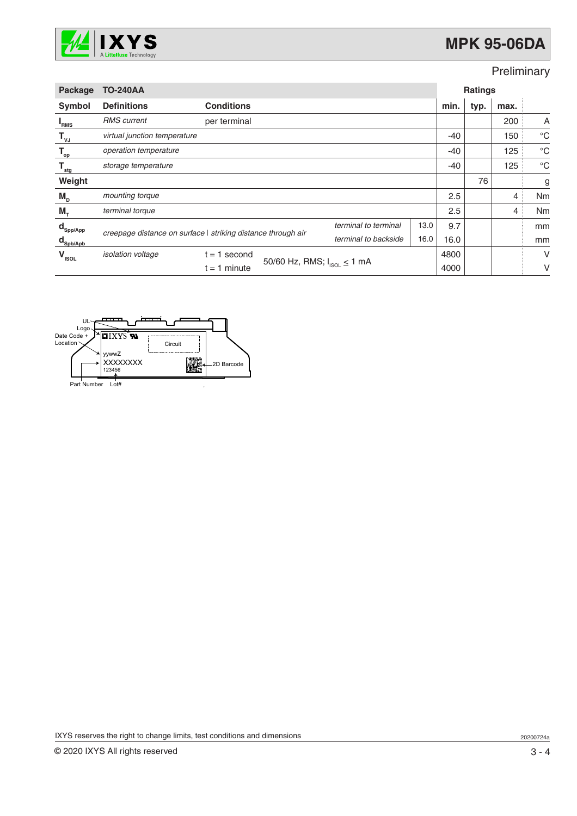

## Preliminary

| Package                         | <b>TO-240AA</b>                                                                                              |                   |                                    | <b>Ratings</b> |      |       |      |                |             |
|---------------------------------|--------------------------------------------------------------------------------------------------------------|-------------------|------------------------------------|----------------|------|-------|------|----------------|-------------|
| Symbol                          | <b>Definitions</b>                                                                                           | <b>Conditions</b> |                                    |                |      | min.  | typ. | max.           |             |
| <b>RMS</b>                      | <b>RMS</b> current                                                                                           | per terminal      |                                    |                |      |       |      | 200            | A           |
| $\mathsf{T}_{\mathsf{vJ}}$      | virtual junction temperature                                                                                 |                   |                                    |                |      | $-40$ |      | 150            | °C          |
| $\mathsf{T}_{\rm op}$           | operation temperature                                                                                        |                   |                                    |                |      | $-40$ |      | 125            | $^{\circ}C$ |
| $\mathsf{T}_{\textsf{stg}}$     | storage temperature                                                                                          |                   |                                    |                |      | $-40$ |      | 125            | $^{\circ}C$ |
| Weight                          |                                                                                                              |                   |                                    |                |      |       | 76   |                | g           |
| $M_{D}$                         | mounting torque                                                                                              |                   |                                    |                |      | 2.5   |      | $\overline{4}$ | Nm          |
| $M_{+}$                         | terminal torque                                                                                              |                   |                                    |                |      | 2.5   |      | 4              | Nm          |
| $\mathbf{d}_{\mathsf{Spp/App}}$ | terminal to terminal<br>creepage distance on surface   striking distance through air<br>terminal to backside |                   |                                    |                | 13.0 | 9.7   |      |                | mm          |
| $\mathbf{d}_{\mathsf{Spb/Apb}}$ |                                                                                                              |                   | 16.0                               | 16.0           |      |       | mm   |                |             |
| $V_{\text{ISOL}}$               | isolation voltage                                                                                            | 1 second<br>$t =$ |                                    |                | 4800 |       |      | V              |             |
|                                 |                                                                                                              | $t = 1$ minute    | 50/60 Hz, RMS; $I_{ISOL} \le 1$ mA |                | 4000 |       |      | V              |             |



IXYS reserves the right to change limits, test conditions and dimensions